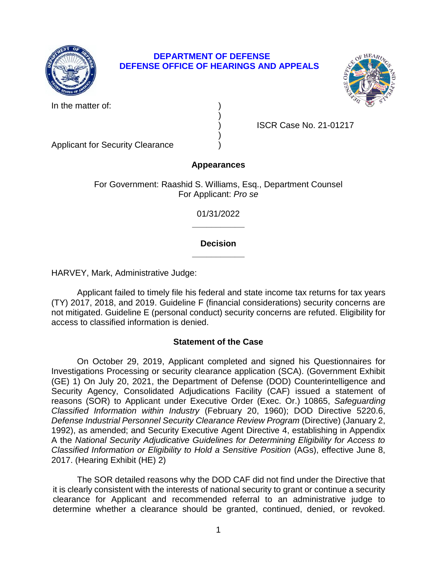

## **DEPARTMENT OF DEFENSE DEFENSE OFFICE OF HEARINGS AND APPEALS**



In the matter of:

) ISCR Case No. 21-01217

Applicant for Security Clearance )

# **Appearances**

)

)

For Government: Raashid S. Williams, Esq., Department Counsel For Applicant: *Pro se* 

> **\_\_\_\_\_\_\_\_\_\_\_**  01/31/2022

## **\_\_\_\_\_\_\_\_\_\_\_ Decision**

HARVEY, Mark, Administrative Judge:

 Applicant failed to timely file his federal and state income tax returns for tax years not mitigated. Guideline E (personal conduct) security concerns are refuted. Eligibility for (TY) 2017, 2018, and 2019. Guideline F (financial considerations) security concerns are access to classified information is denied.

# **Statement of the Case**

 On October 29, 2019, Applicant completed and signed his Questionnaires for Investigations Processing or security clearance application (SCA). (Government Exhibit (GE) 1) On July 20, 2021, the Department of Defense (DOD) Counterintelligence and Security Agency, Consolidated Adjudications Facility (CAF) issued a statement of reasons (SOR) to Applicant under Executive Order (Exec. Or.) 10865, *Safeguarding Classified Information within Industry* (February 20, 1960); DOD Directive 5220.6, Defense Industrial Personnel Security Clearance Review Program (Directive) (January 2, 1992), as amended; and Security Executive Agent Directive 4, establishing in Appendix A the *National Security Adjudicative Guidelines for Determining Eligibility for Access to Classified Information or Eligibility to Hold a Sensitive Position (AGs), effective June 8,* 2017. (Hearing Exhibit (HE) 2)

 The SOR detailed reasons why the DOD CAF did not find under the Directive that it is clearly consistent with the interests of national security to grant or continue a security clearance for Applicant and recommended referral to an administrative judge to determine whether a clearance should be granted, continued, denied, or revoked.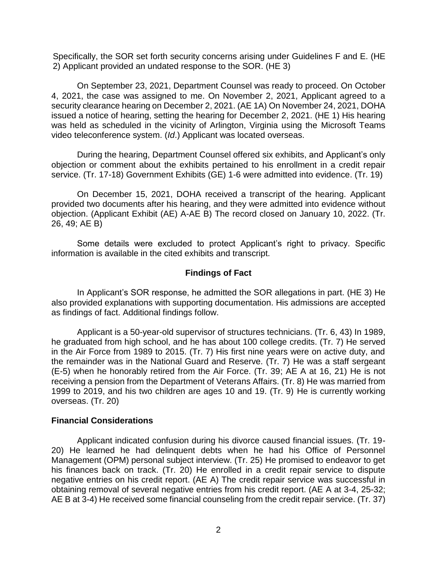Specifically, the SOR set forth security concerns arising under Guidelines F and E. (HE 2) Applicant provided an undated response to the SOR. (HE 3)

 4, 2021, the case was assigned to me. On November 2, 2021, Applicant agreed to a security clearance hearing on December 2, 2021. (AE 1A) On November 24, 2021, DOHA issued a notice of hearing, setting the hearing for December 2, 2021. (HE 1) His hearing was held as scheduled in the vicinity of Arlington, Virginia using the Microsoft Teams video teleconference system. (Id.) Applicant was located overseas. On September 23, 2021, Department Counsel was ready to proceed. On October

 objection or comment about the exhibits pertained to his enrollment in a credit repair During the hearing, Department Counsel offered six exhibits, and Applicant's only service. (Tr. 17-18) Government Exhibits (GE) 1-6 were admitted into evidence. (Tr. 19)

 On December 15, 2021, DOHA received a transcript of the hearing. Applicant provided two documents after his hearing, and they were admitted into evidence without objection. (Applicant Exhibit (AE) A-AE B) The record closed on January 10, 2022. (Tr. 26, 49; AE B)

Some details were excluded to protect Applicant's right to privacy. Specific information is available in the cited exhibits and transcript.

## **Findings of Fact**

 In Applicant's SOR response, he admitted the SOR allegations in part. (HE 3) He also provided explanations with supporting documentation. His admissions are accepted as findings of fact. Additional findings follow.

 he graduated from high school, and he has about 100 college credits. (Tr. 7) He served in the Air Force from 1989 to 2015. (Tr. 7) His first nine years were on active duty, and the remainder was in the National Guard and Reserve. (Tr. 7) He was a staff sergeant (E-5) when he honorably retired from the Air Force. (Tr. 39; AE A at 16, 21) He is not receiving a pension from the Department of Veterans Affairs. (Tr. 8) He was married from 1999 to 2019, and his two children are ages 10 and 19. (Tr. 9) He is currently working Applicant is a 50-year-old supervisor of structures technicians. (Tr. 6, 43) In 1989, overseas. (Tr. 20)

## **Financial Considerations**

Applicant indicated confusion during his divorce caused financial issues. (Tr. 19- 20) He learned he had delinquent debts when he had his Office of Personnel Management (OPM) personal subject interview. (Tr. 25) He promised to endeavor to get his finances back on track. (Tr. 20) He enrolled in a credit repair service to dispute negative entries on his credit report. (AE A) The credit repair service was successful in obtaining removal of several negative entries from his credit report. (AE A at 3-4, 25-32; AE B at 3-4) He received some financial counseling from the credit repair service. (Tr. 37)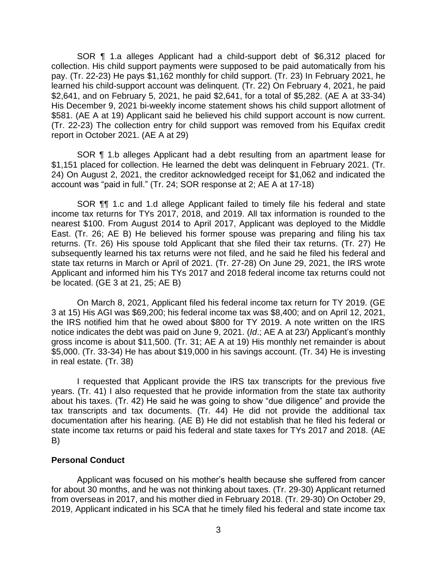SOR ¶ 1.a alleges Applicant had a child-support debt of \$6,312 placed for collection. His child support payments were supposed to be paid automatically from his pay. (Tr. 22-23) He pays \$1,162 monthly for child support. (Tr. 23) In February 2021, he learned his child-support account was delinquent. (Tr. 22) On February 4, 2021, he paid \$2,641, and on February 5, 2021, he paid \$2,641, for a total of \$5,282. (AE A at 33-34) \$581. (AE A at 19) Applicant said he believed his child support account is now current. (Tr. 22-23) The collection entry for child support was removed from his Equifax credit His December 9, 2021 bi-weekly income statement shows his child support allotment of report in October 2021. (AE A at 29)

SOR ¶ 1.b alleges Applicant had a debt resulting from an apartment lease for \$1,151 placed for collection. He learned the debt was delinquent in February 2021. (Tr. 24) On August 2, 2021, the creditor acknowledged receipt for \$1,062 and indicated the account was "paid in full." (Tr. 24; SOR response at 2; AE A at 17-18)

 SOR ¶¶ 1.c and 1.d allege Applicant failed to timely file his federal and state income tax returns for TYs 2017, 2018, and 2019. All tax information is rounded to the nearest \$100. From August 2014 to April 2017, Applicant was deployed to the Middle East. (Tr. 26; AE B) He believed his former spouse was preparing and filing his tax returns. (Tr. 26) His spouse told Applicant that she filed their tax returns. (Tr. 27) He subsequently learned his tax returns were not filed, and he said he filed his federal and state tax returns in March or April of 2021. (Tr. 27-28) On June 29, 2021, the IRS wrote Applicant and informed him his TYs 2017 and 2018 federal income tax returns could not be located. (GE 3 at 21, 25; AE B)

 On March 8, 2021, Applicant filed his federal income tax return for TY 2019. (GE 3 at 15) His AGI was \$69,200; his federal income tax was \$8,400; and on April 12, 2021, the IRS notified him that he owed about \$800 for TY 2019. A note written on the IRS notice indicates the debt was paid on June 9, 2021. (*Id*.; AE A at 23/) Applicant's monthly gross income is about \$11,500. (Tr. 31; AE A at 19) His monthly net remainder is about \$5,000. (Tr. 33-34) He has about \$19,000 in his savings account. (Tr. 34) He is investing in real estate. (Tr. 38)

 I requested that Applicant provide the IRS tax transcripts for the previous five years. (Tr. 41) I also requested that he provide information from the state tax authority about his taxes. (Tr. 42) He said he was going to show "due diligence" and provide the tax transcripts and tax documents. (Tr. 44) He did not provide the additional tax documentation after his hearing. (AE B) He did not establish that he filed his federal or state income tax returns or paid his federal and state taxes for TYs 2017 and 2018. (AE B)

#### **Personal Conduct**

 Applicant was focused on his mother's health because she suffered from cancer from overseas in 2017, and his mother died in February 2018. (Tr. 29-30) On October 29, 2019, Applicant indicated in his SCA that he timely filed his federal and state income tax for about 30 months, and he was not thinking about taxes. (Tr. 29-30) Applicant returned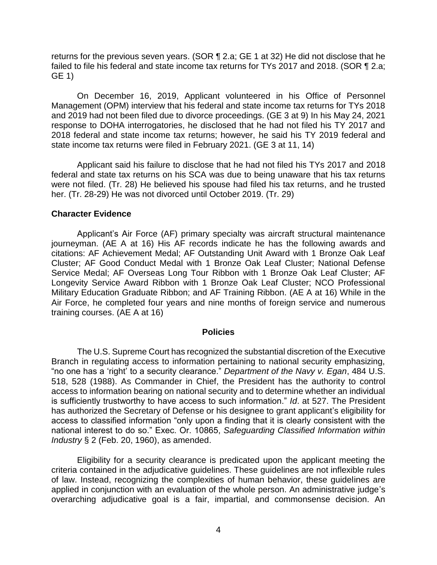returns for the previous seven years. (SOR  $\P$  2.a; GE 1 at 32) He did not disclose that he failed to file his federal and state income tax returns for TYs 2017 and 2018. (SOR ¶ 2.a; GE 1)

 On December 16, 2019, Applicant volunteered in his Office of Personnel and 2019 had not been filed due to divorce proceedings. (GE 3 at 9) In his May 24, 2021 response to DOHA interrogatories, he disclosed that he had not filed his TY 2017 and 2018 federal and state income tax returns; however, he said his TY 2019 federal and Management (OPM) interview that his federal and state income tax returns for TYs 2018 state income tax returns were filed in February 2021. (GE 3 at 11, 14)

 Applicant said his failure to disclose that he had not filed his TYs 2017 and 2018 federal and state tax returns on his SCA was due to being unaware that his tax returns were not filed. (Tr. 28) He believed his spouse had filed his tax returns, and he trusted her. (Tr. 28-29) He was not divorced until October 2019. (Tr. 29)

### **Character Evidence**

 Applicant's Air Force (AF) primary specialty was aircraft structural maintenance journeyman. (AE A at 16) His AF records indicate he has the following awards and citations: AF Achievement Medal; AF Outstanding Unit Award with 1 Bronze Oak Leaf Cluster; AF Good Conduct Medal with 1 Bronze Oak Leaf Cluster; National Defense Service Medal; AF Overseas Long Tour Ribbon with 1 Bronze Oak Leaf Cluster; AF Longevity Service Award Ribbon with 1 Bronze Oak Leaf Cluster; NCO Professional Military Education Graduate Ribbon; and AF Training Ribbon. (AE A at 16) While in the Air Force, he completed four years and nine months of foreign service and numerous training courses. (AE A at 16)

#### **Policies**

 The U.S. Supreme Court has recognized the substantial discretion of the Executive Branch in regulating access to information pertaining to national security emphasizing, "no one has a 'right' to a security clearance." *Department of the Navy v. Egan*, 484 U.S. 518, 528 (1988). As Commander in Chief, the President has the authority to control access to information bearing on national security and to determine whether an individual is sufficiently trustworthy to have access to such information." *Id*. at 527. The President has authorized the Secretary of Defense or his designee to grant applicant's eligibility for access to classified information "only upon a finding that it is clearly consistent with the national interest to do so." Exec. Or. 10865, *Safeguarding Classified Information within Industry* § 2 (Feb. 20, 1960), as amended.

 Eligibility for a security clearance is predicated upon the applicant meeting the criteria contained in the adjudicative guidelines. These guidelines are not inflexible rules of law. Instead, recognizing the complexities of human behavior, these guidelines are applied in conjunction with an evaluation of the whole person. An administrative judge's overarching adjudicative goal is a fair, impartial, and commonsense decision. An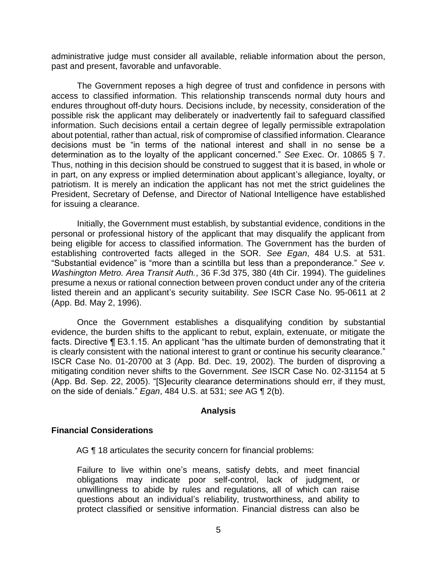administrative judge must consider all available, reliable information about the person, past and present, favorable and unfavorable.

 The Government reposes a high degree of trust and confidence in persons with access to classified information. This relationship transcends normal duty hours and endures throughout off-duty hours. Decisions include, by necessity, consideration of the possible risk the applicant may deliberately or inadvertently fail to safeguard classified information. Such decisions entail a certain degree of legally permissible extrapolation about potential, rather than actual, risk of compromise of classified information. Clearance decisions must be "in terms of the national interest and shall in no sense be a determination as to the loyalty of the applicant concerned." *See* Exec. Or. 10865 § 7. Thus, nothing in this decision should be construed to suggest that it is based, in whole or in part, on any express or implied determination about applicant's allegiance, loyalty, or patriotism. It is merely an indication the applicant has not met the strict guidelines the President, Secretary of Defense, and Director of National Intelligence have established for issuing a clearance.

 Initially, the Government must establish, by substantial evidence, conditions in the personal or professional history of the applicant that may disqualify the applicant from being eligible for access to classified information. The Government has the burden of establishing controverted facts alleged in the SOR. *See Egan*, 484 U.S. at 531. "Substantial evidence" is "more than a scintilla but less than a preponderance." *See v. Washington Metro. Area Transit Auth.*, 36 F.3d 375, 380 (4th Cir. 1994). The guidelines presume a nexus or rational connection between proven conduct under any of the criteria listed therein and an applicant's security suitability. *See* ISCR Case No. 95-0611 at 2 (App. Bd. May 2, 1996).

 Once the Government establishes a disqualifying condition by substantial evidence, the burden shifts to the applicant to rebut, explain, extenuate, or mitigate the facts. Directive ¶ E3.1.15. An applicant "has the ultimate burden of demonstrating that it is clearly consistent with the national interest to grant or continue his security clearance." ISCR Case No. 01-20700 at 3 (App. Bd. Dec. 19, 2002). The burden of disproving a mitigating condition never shifts to the Government. *See* ISCR Case No. 02-31154 at 5 (App. Bd. Sep. 22, 2005). "[S]ecurity clearance determinations should err, if they must, on the side of denials." *Egan*, 484 U.S. at 531; *see* AG ¶ 2(b).

#### **Analysis**

#### **Financial Considerations**

AG ¶ 18 articulates the security concern for financial problems:

Failure to live within one's means, satisfy debts, and meet financial obligations may indicate poor self-control, lack of judgment, or unwillingness to abide by rules and regulations, all of which can raise questions about an individual's reliability, trustworthiness, and ability to protect classified or sensitive information. Financial distress can also be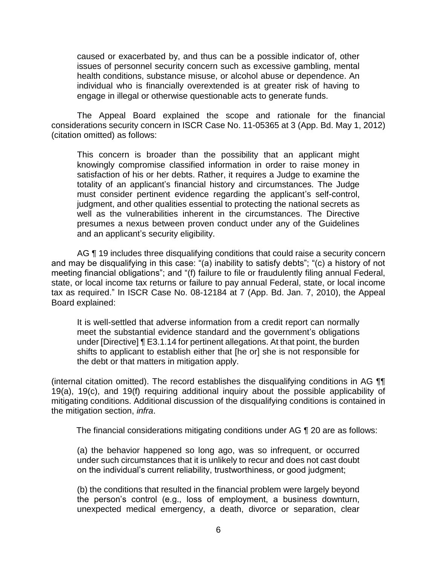caused or exacerbated by, and thus can be a possible indicator of, other issues of personnel security concern such as excessive gambling, mental health conditions, substance misuse, or alcohol abuse or dependence. An individual who is financially overextended is at greater risk of having to engage in illegal or otherwise questionable acts to generate funds.

 The Appeal Board explained the scope and rationale for the financial considerations security concern in ISCR Case No. 11-05365 at 3 (App. Bd. May 1, 2012) (citation omitted) as follows:

This concern is broader than the possibility that an applicant might knowingly compromise classified information in order to raise money in satisfaction of his or her debts. Rather, it requires a Judge to examine the totality of an applicant's financial history and circumstances. The Judge must consider pertinent evidence regarding the applicant's self-control, judgment, and other qualities essential to protecting the national secrets as well as the vulnerabilities inherent in the circumstances. The Directive presumes a nexus between proven conduct under any of the Guidelines and an applicant's security eligibility.

AG **[10]** 19 includes three disqualifying conditions that could raise a security concern and may be disqualifying in this case: "(a) inability to satisfy debts"; "(c) a history of not meeting financial obligations"; and "(f) failure to file or fraudulently filing annual Federal, state, or local income tax returns or failure to pay annual Federal, state, or local income tax as required." In ISCR Case No. 08-12184 at 7 (App. Bd. Jan. 7, 2010), the Appeal Board explained:

It is well-settled that adverse information from a credit report can normally meet the substantial evidence standard and the government's obligations under [Directive] ¶ E3.1.14 for pertinent allegations. At that point, the burden shifts to applicant to establish either that [he or] she is not responsible for the debt or that matters in mitigation apply.

 19(a), 19(c), and 19(f) requiring additional inquiry about the possible applicability of (internal citation omitted). The record establishes the disqualifying conditions in AG ¶¶ mitigating conditions. Additional discussion of the disqualifying conditions is contained in the mitigation section, *infra*.

The financial considerations mitigating conditions under AG ¶ 20 are as follows:

(a) the behavior happened so long ago, was so infrequent, or occurred under such circumstances that it is unlikely to recur and does not cast doubt on the individual's current reliability, trustworthiness, or good judgment;

 (b) the conditions that resulted in the financial problem were largely beyond the person's control (e.g., loss of employment, a business downturn, unexpected medical emergency, a death, divorce or separation, clear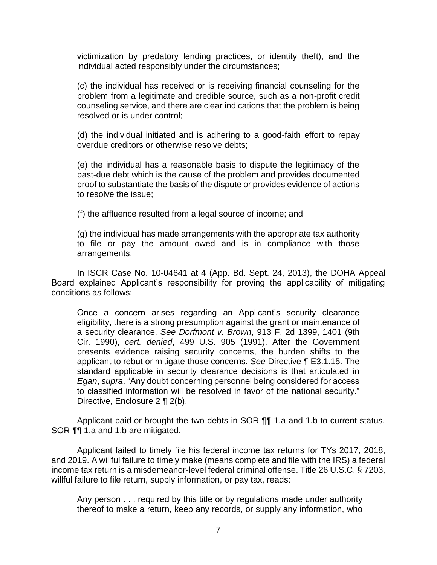victimization by predatory lending practices, or identity theft), and the individual acted responsibly under the circumstances;

(c) the individual has received or is receiving financial counseling for the problem from a legitimate and credible source, such as a non-profit credit counseling service, and there are clear indications that the problem is being resolved or is under control;

(d) the individual initiated and is adhering to a good-faith effort to repay overdue creditors or otherwise resolve debts;

(e) the individual has a reasonable basis to dispute the legitimacy of the past-due debt which is the cause of the problem and provides documented proof to substantiate the basis of the dispute or provides evidence of actions to resolve the issue;

(f) the affluence resulted from a legal source of income; and

 (g) the individual has made arrangements with the appropriate tax authority to file or pay the amount owed and is in compliance with those arrangements.

In ISCR Case No. 10-04641 at 4 (App. Bd. Sept. 24, 2013), the DOHA Appeal Board explained Applicant's responsibility for proving the applicability of mitigating conditions as follows:

Once a concern arises regarding an Applicant's security clearance eligibility, there is a strong presumption against the grant or maintenance of a security clearance. *See Dorfmont v. Brown*, 913 F. 2d 1399, 1401 (9th Cir. 1990), *cert. denied*, 499 U.S. 905 (1991). After the Government presents evidence raising security concerns, the burden shifts to the applicant to rebut or mitigate those concerns. *See* Directive ¶ E3.1.15. The standard applicable in security clearance decisions is that articulated in *Egan*, *supra*. "Any doubt concerning personnel being considered for access to classified information will be resolved in favor of the national security." Directive, Enclosure 2 ¶ 2(b).

Applicant paid or brought the two debts in SOR **[1]** 1.a and 1.b to current status. SOR **¶** 1.a and 1.b are mitigated.

 Applicant failed to timely file his federal income tax returns for TYs 2017, 2018, and 2019. A willful failure to timely make (means complete and file with the IRS) a federal income tax return is a misdemeanor-level federal criminal offense. Title 26 U.S.C. § 7203, willful failure to file return, supply information, or pay tax, reads:

Any person . . . required by this title or by regulations made under authority thereof to make a return, keep any records, or supply any information, who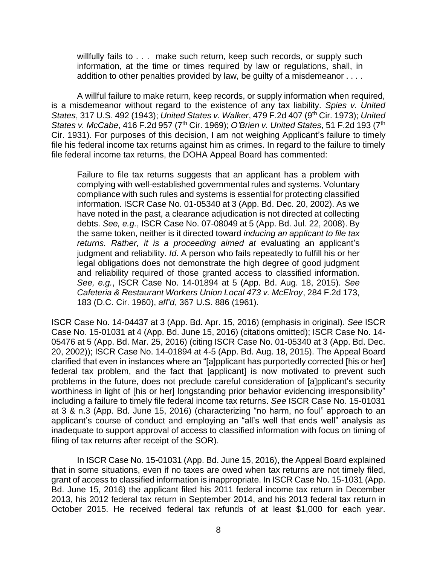willfully fails to . . . make such return, keep such records, or supply such information, at the time or times required by law or regulations, shall, in addition to other penalties provided by law, be guilty of a misdemeanor . . . .

A willful failure to make return, keep records, or supply information when required, is a misdemeanor without regard to the existence of any tax liability. *Spies v. United States*, 317 U.S. 492 (1943); *United States v. Walker*, 479 F.2d 407 (9th Cir. 1973); *United States v. McCabe*, 416 F.2d 957 (7th Cir. 1969); *O'Brien v. United States*, 51 F.2d 193 (7th Cir. 1931). For purposes of this decision, I am not weighing Applicant's failure to timely file his federal income tax returns against him as crimes. In regard to the failure to timely file federal income tax returns, the DOHA Appeal Board has commented:

Failure to file tax returns suggests that an applicant has a problem with complying with well-established governmental rules and systems. Voluntary compliance with such rules and systems is essential for protecting classified information. ISCR Case No. 01-05340 at 3 (App. Bd. Dec. 20, 2002). As we have noted in the past, a clearance adjudication is not directed at collecting debts. *See, e.g.*, ISCR Case No. 07-08049 at 5 (App. Bd. Jul. 22, 2008). By the same token, neither is it directed toward *inducing an applicant to file tax*  returns. Rather, it is a proceeding aimed at evaluating an applicant's judgment and reliability. *Id*. A person who fails repeatedly to fulfill his or her legal obligations does not demonstrate the high degree of good judgment and reliability required of those granted access to classified information. *See, e.g.*, ISCR Case No. 14-01894 at 5 (App. Bd. Aug. 18, 2015). *See Cafeteria & Restaurant Workers Union Local 473 v. McElroy*, 284 F.2d 173, 183 (D.C. Cir. 1960), *aff'd*, 367 U.S. 886 (1961).

ISCR Case No. 14-04437 at 3 (App. Bd. Apr. 15, 2016) (emphasis in original). *See* ISCR Case No. 15-01031 at 4 (App. Bd. June 15, 2016) (citations omitted); ISCR Case No. 14- 05476 at 5 (App. Bd. Mar. 25, 2016) (citing ISCR Case No. 01-05340 at 3 (App. Bd. Dec. 20, 2002)); ISCR Case No. 14-01894 at 4-5 (App. Bd. Aug. 18, 2015). The Appeal Board clarified that even in instances where an "[a]pplicant has purportedly corrected [his or her] federal tax problem, and the fact that [applicant] is now motivated to prevent such problems in the future, does not preclude careful consideration of [a]pplicant's security worthiness in light of [his or her] longstanding prior behavior evidencing irresponsibility" including a failure to timely file federal income tax returns. *See* ISCR Case No. 15-01031 at 3 & n.3 (App. Bd. June 15, 2016) (characterizing "no harm, no foul" approach to an applicant's course of conduct and employing an "all's well that ends well" analysis as inadequate to support approval of access to classified information with focus on timing of filing of tax returns after receipt of the SOR).

 In ISCR Case No. 15-01031 (App. Bd. June 15, 2016), the Appeal Board explained that in some situations, even if no taxes are owed when tax returns are not timely filed, grant of access to classified information is inappropriate. In ISCR Case No. 15-1031 (App. Bd. June 15, 2016) the applicant filed his 2011 federal income tax return in December 2013, his 2012 federal tax return in September 2014, and his 2013 federal tax return in October 2015. He received federal tax refunds of at least \$1,000 for each year.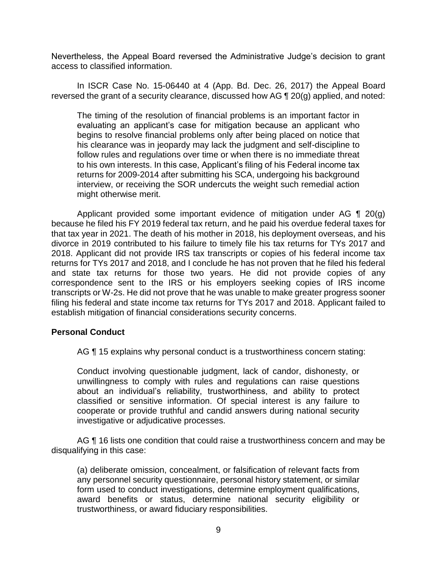Nevertheless, the Appeal Board reversed the Administrative Judge's decision to grant access to classified information.

 In ISCR Case No. 15-06440 at 4 (App. Bd. Dec. 26, 2017) the Appeal Board reversed the grant of a security clearance, discussed how AG ¶ 20(g) applied, and noted:

The timing of the resolution of financial problems is an important factor in evaluating an applicant's case for mitigation because an applicant who begins to resolve financial problems only after being placed on notice that his clearance was in jeopardy may lack the judgment and self-discipline to follow rules and regulations over time or when there is no immediate threat to his own interests. In this case, Applicant's filing of his Federal income tax returns for 2009-2014 after submitting his SCA, undergoing his background interview, or receiving the SOR undercuts the weight such remedial action might otherwise merit.

Applicant provided some important evidence of mitigation under AG  $\P$  20(g) because he filed his FY 2019 federal tax return, and he paid his overdue federal taxes for that tax year in 2021. The death of his mother in 2018, his deployment overseas, and his divorce in 2019 contributed to his failure to timely file his tax returns for TYs 2017 and 2018. Applicant did not provide IRS tax transcripts or copies of his federal income tax returns for TYs 2017 and 2018, and I conclude he has not proven that he filed his federal and state tax returns for those two years. He did not provide copies of any correspondence sent to the IRS or his employers seeking copies of IRS income transcripts or W-2s. He did not prove that he was unable to make greater progress sooner filing his federal and state income tax returns for TYs 2017 and 2018. Applicant failed to establish mitigation of financial considerations security concerns.

## **Personal Conduct**

AG ¶ 15 explains why personal conduct is a trustworthiness concern stating:

Conduct involving questionable judgment, lack of candor, dishonesty, or unwillingness to comply with rules and regulations can raise questions about an individual's reliability, trustworthiness, and ability to protect classified or sensitive information. Of special interest is any failure to cooperate or provide truthful and candid answers during national security investigative or adjudicative processes.

AG  $\P$  16 lists one condition that could raise a trustworthiness concern and may be disqualifying in this case:

(a) deliberate omission, concealment, or falsification of relevant facts from any personnel security questionnaire, personal history statement, or similar form used to conduct investigations, determine employment qualifications, award benefits or status, determine national security eligibility or trustworthiness, or award fiduciary responsibilities.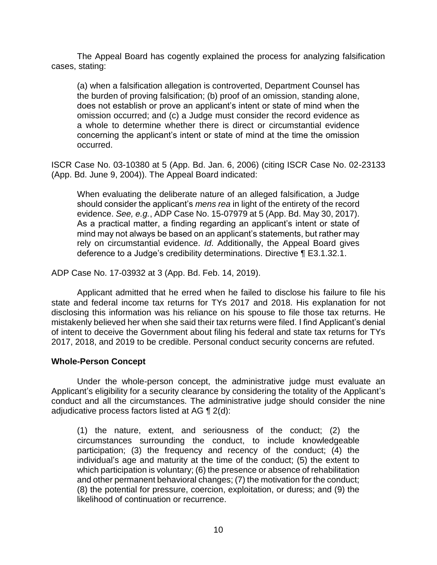The Appeal Board has cogently explained the process for analyzing falsification cases, stating:

(a) when a falsification allegation is controverted, Department Counsel has the burden of proving falsification; (b) proof of an omission, standing alone, does not establish or prove an applicant's intent or state of mind when the omission occurred; and (c) a Judge must consider the record evidence as a whole to determine whether there is direct or circumstantial evidence concerning the applicant's intent or state of mind at the time the omission occurred.

 ISCR Case No. 03-10380 at 5 (App. Bd. Jan. 6, 2006) (citing ISCR Case No. 02-23133 (App. Bd. June 9, 2004)). The Appeal Board indicated:

When evaluating the deliberate nature of an alleged falsification, a Judge should consider the applicant's *mens rea* in light of the entirety of the record evidence. *See, e.g.*, ADP Case No. 15-07979 at 5 (App. Bd. May 30, 2017). As a practical matter, a finding regarding an applicant's intent or state of mind may not always be based on an applicant's statements, but rather may rely on circumstantial evidence. *Id*. Additionally, the Appeal Board gives deference to a Judge's credibility determinations. Directive ¶ E3.1.32.1.

ADP Case No. 17-03932 at 3 (App. Bd. Feb. 14, 2019).

 Applicant admitted that he erred when he failed to disclose his failure to file his state and federal income tax returns for TYs 2017 and 2018. His explanation for not disclosing this information was his reliance on his spouse to file those tax returns. He mistakenly believed her when she said their tax returns were filed. I find Applicant's denial of intent to deceive the Government about filing his federal and state tax returns for TYs 2017, 2018, and 2019 to be credible. Personal conduct security concerns are refuted.

## **Whole-Person Concept**

 Under the whole-person concept, the administrative judge must evaluate an conduct and all the circumstances. The administrative judge should consider the nine adjudicative process factors listed at AG  $\P$  2(d): Applicant's eligibility for a security clearance by considering the totality of the Applicant's

 (1) the nature, extent, and seriousness of the conduct; (2) the circumstances surrounding the conduct, to include knowledgeable participation; (3) the frequency and recency of the conduct; (4) the individual's age and maturity at the time of the conduct; (5) the extent to which participation is voluntary; (6) the presence or absence of rehabilitation and other permanent behavioral changes; (7) the motivation for the conduct; (8) the potential for pressure, coercion, exploitation, or duress; and (9) the likelihood of continuation or recurrence.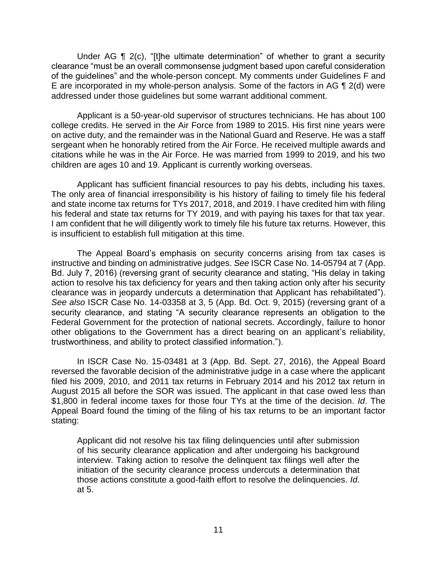clearance "must be an overall commonsense judgment based upon careful consideration of the guidelines" and the whole-person concept. My comments under Guidelines F and E are incorporated in my whole-person analysis. Some of the factors in AG ¶ 2(d) were Under AG ¶ 2(c), "[t]he ultimate determination" of whether to grant a security addressed under those guidelines but some warrant additional comment.

 Applicant is a 50-year-old supervisor of structures technicians. He has about 100 college credits. He served in the Air Force from 1989 to 2015. His first nine years were on active duty, and the remainder was in the National Guard and Reserve. He was a staff sergeant when he honorably retired from the Air Force. He received multiple awards and citations while he was in the Air Force. He was married from 1999 to 2019, and his two children are ages 10 and 19. Applicant is currently working overseas.

 Applicant has sufficient financial resources to pay his debts, including his taxes. The only area of financial irresponsibility is his history of failing to timely file his federal and state income tax returns for TYs 2017, 2018, and 2019. I have credited him with filing his federal and state tax returns for TY 2019, and with paying his taxes for that tax year. I am confident that he will diligently work to timely file his future tax returns. However, this is insufficient to establish full mitigation at this time.

 The Appeal Board's emphasis on security concerns arising from tax cases is instructive and binding on administrative judges. *See* ISCR Case No. 14-05794 at 7 (App. Bd. July 7, 2016) (reversing grant of security clearance and stating, "His delay in taking action to resolve his tax deficiency for years and then taking action only after his security clearance was in jeopardy undercuts a determination that Applicant has rehabilitated"). *See also* ISCR Case No. 14-03358 at 3, 5 (App. Bd. Oct. 9, 2015) (reversing grant of a security clearance, and stating "A security clearance represents an obligation to the Federal Government for the protection of national secrets. Accordingly, failure to honor other obligations to the Government has a direct bearing on an applicant's reliability, trustworthiness, and ability to protect classified information.").

 In ISCR Case No. 15-03481 at 3 (App. Bd. Sept. 27, 2016), the Appeal Board reversed the favorable decision of the administrative judge in a case where the applicant filed his 2009, 2010, and 2011 tax returns in February 2014 and his 2012 tax return in August 2015 all before the SOR was issued. The applicant in that case owed less than \$1,800 in federal income taxes for those four TYs at the time of the decision. *Id*. The Appeal Board found the timing of the filing of his tax returns to be an important factor stating:

Applicant did not resolve his tax filing delinquencies until after submission of his security clearance application and after undergoing his background interview. Taking action to resolve the delinquent tax filings well after the initiation of the security clearance process undercuts a determination that those actions constitute a good-faith effort to resolve the delinquencies. *Id*. at 5.